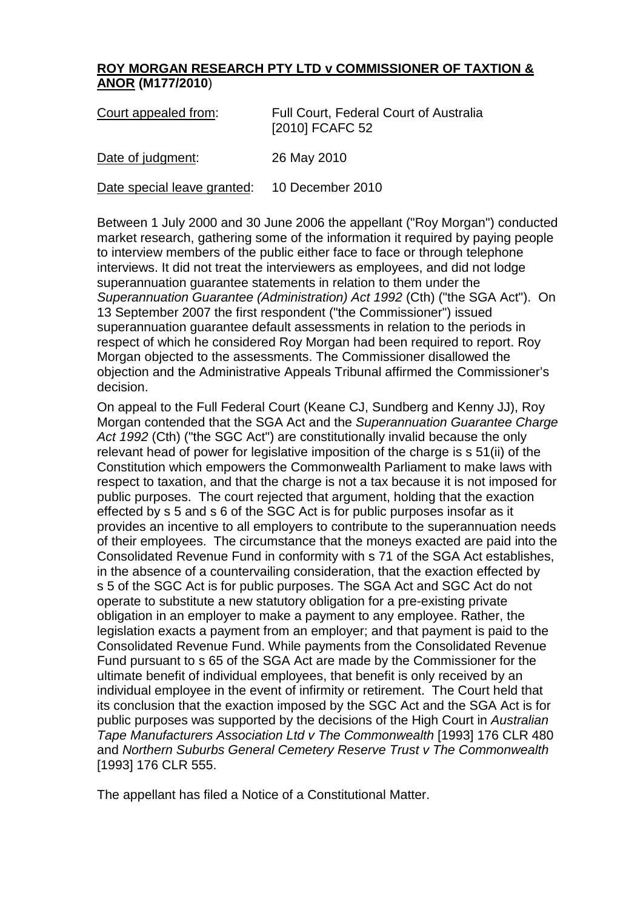## **ROY MORGAN RESEARCH PTY LTD v COMMISSIONER OF TAXTION & ANOR (M177/2010**)

| Court appealed from:                         | <b>Full Court, Federal Court of Australia</b><br>[2010] FCAFC 52 |
|----------------------------------------------|------------------------------------------------------------------|
| Date of judgment:                            | 26 May 2010                                                      |
| Date special leave granted: 10 December 2010 |                                                                  |

Between 1 July 2000 and 30 June 2006 the appellant ("Roy Morgan") conducted market research, gathering some of the information it required by paying people to interview members of the public either face to face or through telephone interviews. It did not treat the interviewers as employees, and did not lodge superannuation guarantee statements in relation to them under the *Superannuation Guarantee (Administration) Act 1992* (Cth) ("the SGA Act"). On 13 September 2007 the first respondent ("the Commissioner") issued superannuation guarantee default assessments in relation to the periods in respect of which he considered Roy Morgan had been required to report. Roy Morgan objected to the assessments. The Commissioner disallowed the objection and the Administrative Appeals Tribunal affirmed the Commissioner's decision.

On appeal to the Full Federal Court (Keane CJ, Sundberg and Kenny JJ), Roy Morgan contended that the SGA Act and the *Superannuation Guarantee Charge Act 1992* (Cth) ("the SGC Act") are constitutionally invalid because the only relevant head of power for legislative imposition of the charge is s 51(ii) of the Constitution which empowers the Commonwealth Parliament to make laws with respect to taxation, and that the charge is not a tax because it is not imposed for public purposes. The court rejected that argument, holding that the exaction effected by s 5 and s 6 of the SGC Act is for public purposes insofar as it provides an incentive to all employers to contribute to the superannuation needs of their employees. The circumstance that the moneys exacted are paid into the Consolidated Revenue Fund in conformity with s 71 of the SGA Act establishes, in the absence of a countervailing consideration, that the exaction effected by s 5 of the SGC Act is for public purposes. The SGA Act and SGC Act do not operate to substitute a new statutory obligation for a pre-existing private obligation in an employer to make a payment to any employee. Rather, the legislation exacts a payment from an employer; and that payment is paid to the Consolidated Revenue Fund. While payments from the Consolidated Revenue Fund pursuant to s 65 of the SGA Act are made by the Commissioner for the ultimate benefit of individual employees, that benefit is only received by an individual employee in the event of infirmity or retirement. The Court held that its conclusion that the exaction imposed by the SGC Act and the SGA Act is for public purposes was supported by the decisions of the High Court in *Australian Tape Manufacturers Association Ltd v The Commonwealth* [1993] 176 CLR 480 and *Northern Suburbs General Cemetery Reserve Trust v The Commonwealth*  [1993] 176 CLR 555.

The appellant has filed a Notice of a Constitutional Matter.